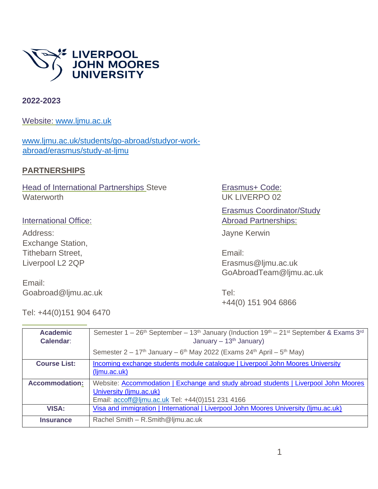

#### **2022-2023**

Website: [www.ljmu.ac.uk](http://www.ljmu.ac.uk/)

[www.ljmu.ac.uk/students/go-abroad/studyor-work](http://www.ljmu.ac.uk/students/go-abroad/studyor-work-abroad/erasmus/study-at-ljmu)[abroad/erasmus/study-at-ljmu](http://www.ljmu.ac.uk/students/go-abroad/studyor-work-abroad/erasmus/study-at-ljmu)

### **PARTNERSHIPS**

**Head of International Partnerships Steve Waterworth** 

#### International Office:

Address: Exchange Station, Tithebarn Street, Liverpool L2 2QP

Email: Goabroad@ljmu.ac.uk

Tel: +44(0)151 904 6470

Erasmus+ Code: UK LIVERPO 02

Erasmus Coordinator/Study Abroad Partnerships:

Jayne Kerwin

Email: Erasmus@ljmu.ac.uk GoAbroadTeam@ljmu.ac.uk

Tel: +44(0) 151 904 6866

| <b>Academic</b><br><b>Calendar:</b> | Semester $1-26$ <sup>th</sup> September – 13 <sup>th</sup> January (Induction 19 <sup>th</sup> – 21 <sup>st</sup> September & Exams 3 <sup>rd</sup><br>January – $13th$ January) |  |  |
|-------------------------------------|----------------------------------------------------------------------------------------------------------------------------------------------------------------------------------|--|--|
|                                     | Semester $2 - 17$ <sup>th</sup> January – 6 <sup>th</sup> May 2022 (Exams 24 <sup>th</sup> April – 5 <sup>th</sup> May)                                                          |  |  |
| <b>Course List:</b>                 | Incoming exchange students module catalogue   Liverpool John Moores University<br>(limu.ac.uk)                                                                                   |  |  |
| <b>Accommodation:</b>               | Website: Accommodation   Exchange and study abroad students   Liverpool John Moores<br>University (limu.ac.uk)<br>Email: accoff@ljmu.ac.uk Tel: +44(0)151 231 4166               |  |  |
| <b>VISA:</b>                        | Visa and immigration   International   Liverpool John Moores University (Ijmu.ac.uk)                                                                                             |  |  |
| <b>Insurance</b>                    | Rachel Smith - R.Smith@ljmu.ac.uk                                                                                                                                                |  |  |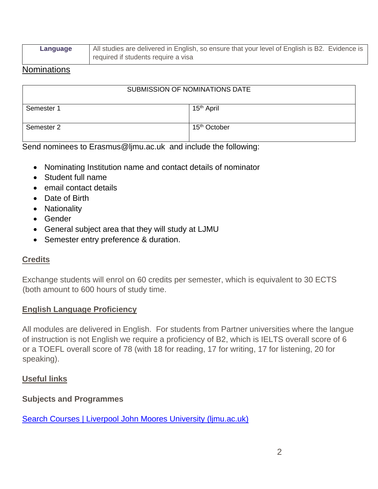| Language | All studies are delivered in English, so ensure that your level of English is B2. Evidence is |  |
|----------|-----------------------------------------------------------------------------------------------|--|
|          | required if students require a visa                                                           |  |

### Nominations

| SUBMISSION OF NOMINATIONS DATE |                          |  |  |
|--------------------------------|--------------------------|--|--|
| Semester 1                     | 15 <sup>th</sup> April   |  |  |
| Semester 2                     | 15 <sup>th</sup> October |  |  |
| $ -$                           |                          |  |  |

Send nominees to [Erasmus@ljmu.ac.uk](mailto:Erasmus@ljmu.ac.uk) and include the following:

- Nominating Institution name and contact details of nominator
- Student full name
- email contact details
- Date of Birth
- Nationality
- Gender
- General subject area that they will study at LJMU
- Semester entry preference & duration.

# **Credits**

Exchange students will enrol on 60 credits per semester, which is equivalent to 30 ECTS (both amount to 600 hours of study time.

### **English Language Proficiency**

All modules are delivered in English. For students from Partner universities where the langue of instruction is not English we require a proficiency of B2, which is IELTS overall score of 6 or a TOEFL overall score of 78 (with 18 for reading, 17 for writing, 17 for listening, 20 for speaking).

# **Useful links**

# **Subjects and Programmes**

[Search Courses | Liverpool John Moores University \(ljmu.ac.uk\)](https://www.ljmu.ac.uk/study/courses#tab-search-by-keyword)